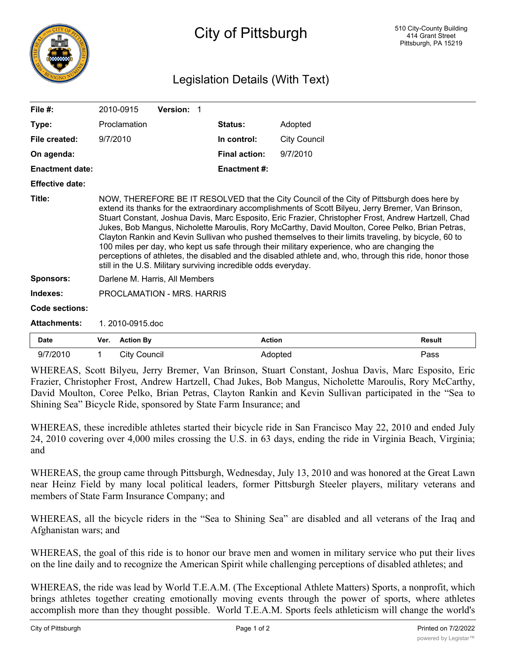

## Legislation Details (With Text)

| File $#$ :             |                                                                                                                                                                                                                                                                                                                                                                                                                                                                                                                                                                                                                                                                                                                                                                                                   | 2010-0915           | Version: 1 |                      |                     |               |
|------------------------|---------------------------------------------------------------------------------------------------------------------------------------------------------------------------------------------------------------------------------------------------------------------------------------------------------------------------------------------------------------------------------------------------------------------------------------------------------------------------------------------------------------------------------------------------------------------------------------------------------------------------------------------------------------------------------------------------------------------------------------------------------------------------------------------------|---------------------|------------|----------------------|---------------------|---------------|
| Type:                  |                                                                                                                                                                                                                                                                                                                                                                                                                                                                                                                                                                                                                                                                                                                                                                                                   | Proclamation        |            | <b>Status:</b>       | Adopted             |               |
| File created:          | 9/7/2010                                                                                                                                                                                                                                                                                                                                                                                                                                                                                                                                                                                                                                                                                                                                                                                          |                     |            | In control:          | <b>City Council</b> |               |
| On agenda:             |                                                                                                                                                                                                                                                                                                                                                                                                                                                                                                                                                                                                                                                                                                                                                                                                   |                     |            | <b>Final action:</b> | 9/7/2010            |               |
| <b>Enactment date:</b> |                                                                                                                                                                                                                                                                                                                                                                                                                                                                                                                                                                                                                                                                                                                                                                                                   |                     |            | <b>Enactment #:</b>  |                     |               |
| <b>Effective date:</b> |                                                                                                                                                                                                                                                                                                                                                                                                                                                                                                                                                                                                                                                                                                                                                                                                   |                     |            |                      |                     |               |
| Title:                 | NOW, THEREFORE BE IT RESOLVED that the City Council of the City of Pittsburgh does here by<br>extend its thanks for the extraordinary accomplishments of Scott Bilyeu, Jerry Bremer, Van Brinson,<br>Stuart Constant, Joshua Davis, Marc Esposito, Eric Frazier, Christopher Frost, Andrew Hartzell, Chad<br>Jukes, Bob Mangus, Nicholette Maroulis, Rory McCarthy, David Moulton, Coree Pelko, Brian Petras,<br>Clayton Rankin and Kevin Sullivan who pushed themselves to their limits traveling, by bicycle, 60 to<br>100 miles per day, who kept us safe through their military experience, who are changing the<br>perceptions of athletes, the disabled and the disabled athlete and, who, through this ride, honor those<br>still in the U.S. Military surviving incredible odds everyday. |                     |            |                      |                     |               |
| <b>Sponsors:</b>       | Darlene M. Harris, All Members                                                                                                                                                                                                                                                                                                                                                                                                                                                                                                                                                                                                                                                                                                                                                                    |                     |            |                      |                     |               |
| Indexes:               | PROCLAMATION - MRS. HARRIS                                                                                                                                                                                                                                                                                                                                                                                                                                                                                                                                                                                                                                                                                                                                                                        |                     |            |                      |                     |               |
| Code sections:         |                                                                                                                                                                                                                                                                                                                                                                                                                                                                                                                                                                                                                                                                                                                                                                                                   |                     |            |                      |                     |               |
| <b>Attachments:</b>    | 1.2010-0915.doc                                                                                                                                                                                                                                                                                                                                                                                                                                                                                                                                                                                                                                                                                                                                                                                   |                     |            |                      |                     |               |
| <b>Date</b>            | Ver.                                                                                                                                                                                                                                                                                                                                                                                                                                                                                                                                                                                                                                                                                                                                                                                              | <b>Action By</b>    |            |                      | <b>Action</b>       | <b>Result</b> |
| 9/7/2010               | 1                                                                                                                                                                                                                                                                                                                                                                                                                                                                                                                                                                                                                                                                                                                                                                                                 | <b>City Council</b> |            |                      | Adopted             | Pass          |

WHEREAS, Scott Bilyeu, Jerry Bremer, Van Brinson, Stuart Constant, Joshua Davis, Marc Esposito, Eric Frazier, Christopher Frost, Andrew Hartzell, Chad Jukes, Bob Mangus, Nicholette Maroulis, Rory McCarthy, David Moulton, Coree Pelko, Brian Petras, Clayton Rankin and Kevin Sullivan participated in the "Sea to Shining Sea" Bicycle Ride, sponsored by State Farm Insurance; and

WHEREAS, these incredible athletes started their bicycle ride in San Francisco May 22, 2010 and ended July 24, 2010 covering over 4,000 miles crossing the U.S. in 63 days, ending the ride in Virginia Beach, Virginia; and

WHEREAS, the group came through Pittsburgh, Wednesday, July 13, 2010 and was honored at the Great Lawn near Heinz Field by many local political leaders, former Pittsburgh Steeler players, military veterans and members of State Farm Insurance Company; and

WHEREAS, all the bicycle riders in the "Sea to Shining Sea" are disabled and all veterans of the Iraq and Afghanistan wars; and

WHEREAS, the goal of this ride is to honor our brave men and women in military service who put their lives on the line daily and to recognize the American Spirit while challenging perceptions of disabled athletes; and

WHEREAS, the ride was lead by World T.E.A.M. (The Exceptional Athlete Matters) Sports, a nonprofit, which brings athletes together creating emotionally moving events through the power of sports, where athletes accomplish more than they thought possible. World T.E.A.M. Sports feels athleticism will change the world's